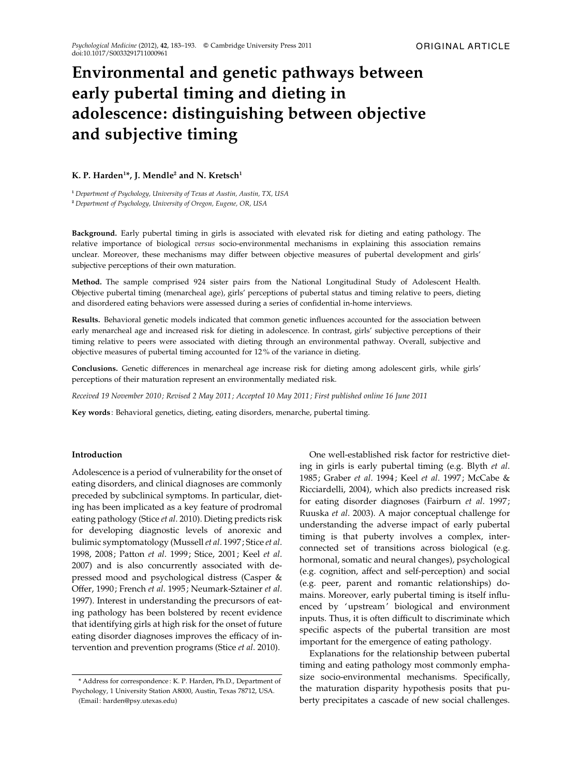# Environmental and genetic pathways between early pubertal timing and dieting in adolescence: distinguishing between objective and subjective timing

## K. P. Harden<sup>1\*</sup>, J. Mendle<sup>2</sup> and N. Kretsch<sup>1</sup>

<sup>1</sup> Department of Psychology, University of Texas at Austin, Austin, TX, USA <sup>2</sup> Department of Psychology, University of Oregon, Eugene, OR, USA

Background. Early pubertal timing in girls is associated with elevated risk for dieting and eating pathology. The relative importance of biological versus socio-environmental mechanisms in explaining this association remains unclear. Moreover, these mechanisms may differ between objective measures of pubertal development and girls' subjective perceptions of their own maturation.

Method. The sample comprised 924 sister pairs from the National Longitudinal Study of Adolescent Health. Objective pubertal timing (menarcheal age), girls' perceptions of pubertal status and timing relative to peers, dieting and disordered eating behaviors were assessed during a series of confidential in-home interviews.

Results. Behavioral genetic models indicated that common genetic influences accounted for the association between early menarcheal age and increased risk for dieting in adolescence. In contrast, girls' subjective perceptions of their timing relative to peers were associated with dieting through an environmental pathway. Overall, subjective and objective measures of pubertal timing accounted for 12% of the variance in dieting.

Conclusions. Genetic differences in menarcheal age increase risk for dieting among adolescent girls, while girls' perceptions of their maturation represent an environmentally mediated risk.

Received 19 November 2010; Revised 2 May 2011; Accepted 10 May 2011; First published online 16 June 2011

Key words : Behavioral genetics, dieting, eating disorders, menarche, pubertal timing.

#### Introduction

Adolescence is a period of vulnerability for the onset of eating disorders, and clinical diagnoses are commonly preceded by subclinical symptoms. In particular, dieting has been implicated as a key feature of prodromal eating pathology (Stice et al. 2010). Dieting predicts risk for developing diagnostic levels of anorexic and bulimic symptomatology (Mussell et al. 1997; Stice et al. 1998, 2008; Patton et al. 1999; Stice, 2001; Keel et al. 2007) and is also concurrently associated with depressed mood and psychological distress (Casper & Offer, 1990; French et al. 1995; Neumark-Sztainer et al. 1997). Interest in understanding the precursors of eating pathology has been bolstered by recent evidence that identifying girls at high risk for the onset of future eating disorder diagnoses improves the efficacy of intervention and prevention programs (Stice et al. 2010).

One well-established risk factor for restrictive dieting in girls is early pubertal timing (e.g. Blyth et al. 1985; Graber et al. 1994; Keel et al. 1997; McCabe & Ricciardelli, 2004), which also predicts increased risk for eating disorder diagnoses (Fairburn et al. 1997; Ruuska et al. 2003). A major conceptual challenge for understanding the adverse impact of early pubertal timing is that puberty involves a complex, interconnected set of transitions across biological (e.g. hormonal, somatic and neural changes), psychological (e.g. cognition, affect and self-perception) and social (e.g. peer, parent and romantic relationships) domains. Moreover, early pubertal timing is itself influenced by 'upstream' biological and environment inputs. Thus, it is often difficult to discriminate which specific aspects of the pubertal transition are most important for the emergence of eating pathology.

Explanations for the relationship between pubertal timing and eating pathology most commonly emphasize socio-environmental mechanisms. Specifically, the maturation disparity hypothesis posits that puberty precipitates a cascade of new social challenges.

<sup>\*</sup> Address for correspondence : K. P. Harden, Ph.D., Department of Psychology, 1 University Station A8000, Austin, Texas 78712, USA. (Email : harden@psy.utexas.edu)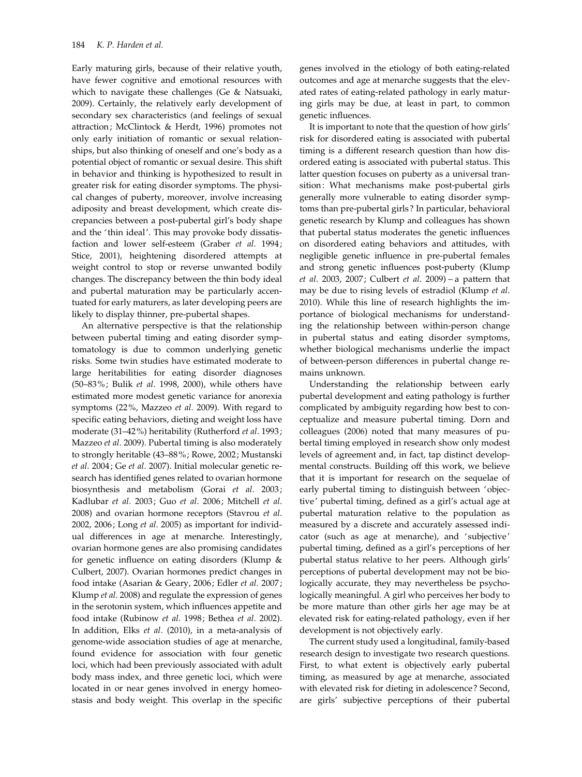Early maturing girls, because of their relative youth, have fewer cognitive and emotional resources with which to navigate these challenges (Ge & Natsuaki, 2009). Certainly, the relatively early development of secondary sex characteristics (and feelings of sexual attraction; McClintock & Herdt, 1996) promotes not only early initiation of romantic or sexual relationships, but also thinking of oneself and one's body as a potential object of romantic or sexual desire. This shift in behavior and thinking is hypothesized to result in greater risk for eating disorder symptoms. The physical changes of puberty, moreover, involve increasing adiposity and breast development, which create discrepancies between a post-pubertal girl's body shape and the 'thin ideal'. This may provoke body dissatisfaction and lower self-esteem (Graber et al. 1994; Stice, 2001), heightening disordered attempts at weight control to stop or reverse unwanted bodily changes. The discrepancy between the thin body ideal and pubertal maturation may be particularly accentuated for early maturers, as later developing peers are likely to display thinner, pre-pubertal shapes.

An alternative perspective is that the relationship between pubertal timing and eating disorder symptomatology is due to common underlying genetic risks. Some twin studies have estimated moderate to large heritabilities for eating disorder diagnoses (50–83%; Bulik et al. 1998, 2000), while others have estimated more modest genetic variance for anorexia symptoms (22%, Mazzeo et al. 2009). With regard to specific eating behaviors, dieting and weight loss have moderate (31–42%) heritability (Rutherford et al. 1993; Mazzeo et al. 2009). Pubertal timing is also moderately to strongly heritable (43–88%; Rowe, 2002; Mustanski et al. 2004; Ge et al. 2007). Initial molecular genetic research has identified genes related to ovarian hormone biosynthesis and metabolism (Gorai et al. 2003; Kadlubar et al. 2003; Guo et al. 2006; Mitchell et al. 2008) and ovarian hormone receptors (Stavrou et al. 2002, 2006; Long et al. 2005) as important for individual differences in age at menarche. Interestingly, ovarian hormone genes are also promising candidates for genetic influence on eating disorders (Klump & Culbert, 2007). Ovarian hormones predict changes in food intake (Asarian & Geary, 2006; Edler et al. 2007; Klump et al. 2008) and regulate the expression of genes in the serotonin system, which influences appetite and food intake (Rubinow et al. 1998; Bethea et al. 2002). In addition, Elks et al. (2010), in a meta-analysis of genome-wide association studies of age at menarche, found evidence for association with four genetic loci, which had been previously associated with adult body mass index, and three genetic loci, which were located in or near genes involved in energy homeostasis and body weight. This overlap in the specific genes involved in the etiology of both eating-related outcomes and age at menarche suggests that the elevated rates of eating-related pathology in early maturing girls may be due, at least in part, to common genetic influences.

It is important to note that the question of how girls' risk for disordered eating is associated with pubertal timing is a different research question than how disordered eating is associated with pubertal status. This latter question focuses on puberty as a universal transition: What mechanisms make post-pubertal girls generally more vulnerable to eating disorder symptoms than pre-pubertal girls ? In particular, behavioral genetic research by Klump and colleagues has shown that pubertal status moderates the genetic influences on disordered eating behaviors and attitudes, with negligible genetic influence in pre-pubertal females and strong genetic influences post-puberty (Klump et al. 2003, 2007; Culbert et al. 2009) – a pattern that may be due to rising levels of estradiol (Klump et al. 2010). While this line of research highlights the importance of biological mechanisms for understanding the relationship between within-person change in pubertal status and eating disorder symptoms, whether biological mechanisms underlie the impact of between-person differences in pubertal change remains unknown.

Understanding the relationship between early pubertal development and eating pathology is further complicated by ambiguity regarding how best to conceptualize and measure pubertal timing. Dorn and colleagues (2006) noted that many measures of pubertal timing employed in research show only modest levels of agreement and, in fact, tap distinct developmental constructs. Building off this work, we believe that it is important for research on the sequelae of early pubertal timing to distinguish between ' objective' pubertal timing, defined as a girl's actual age at pubertal maturation relative to the population as measured by a discrete and accurately assessed indicator (such as age at menarche), and ' subjective' pubertal timing, defined as a girl's perceptions of her pubertal status relative to her peers. Although girls' perceptions of pubertal development may not be biologically accurate, they may nevertheless be psychologically meaningful. A girl who perceives her body to be more mature than other girls her age may be at elevated risk for eating-related pathology, even if her development is not objectively early.

The current study used a longitudinal, family-based research design to investigate two research questions. First, to what extent is objectively early pubertal timing, as measured by age at menarche, associated with elevated risk for dieting in adolescence ? Second, are girls' subjective perceptions of their pubertal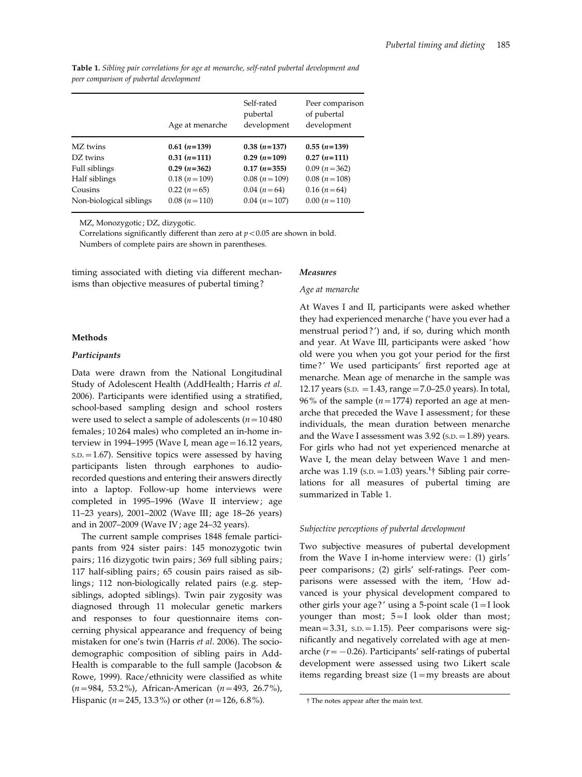|                         | Age at menarche | Self-rated<br>pubertal<br>development | Peer comparison<br>of pubertal<br>development |
|-------------------------|-----------------|---------------------------------------|-----------------------------------------------|
| MZ twins                | $0.61 (n=139)$  | $0.38(n=137)$                         | $0.55(n=139)$                                 |
| DZ twins                | $0.31(n=111)$   | $0.29 (n=109)$                        | $0.27(n=111)$                                 |
| Full siblings           | $0.29(n=362)$   | $0.17 (n=355)$                        | $0.09(n=362)$                                 |
| Half siblings           | $0.18(n=109)$   | $0.08(n=109)$                         | $0.08(n=108)$                                 |
| Cousins                 | $0.22(n=65)$    | $0.04(n=64)$                          | $0.16(n=64)$                                  |
| Non-biological siblings | $0.08(n=110)$   | $0.04(n=107)$                         | $0.00(n=110)$                                 |

Table 1. Sibling pair correlations for age at menarche, self-rated pubertal development and peer comparison of pubertal development

MZ, Monozygotic ; DZ, dizygotic.

Correlations significantly different than zero at  $p < 0.05$  are shown in bold. Numbers of complete pairs are shown in parentheses.

timing associated with dieting via different mechanisms than objective measures of pubertal timing?

#### Measures

#### Age at menarche

Methods

## **Participants**

Data were drawn from the National Longitudinal Study of Adolescent Health (AddHealth; Harris et al. 2006). Participants were identified using a stratified, school-based sampling design and school rosters were used to select a sample of adolescents ( $n=10 480$ females; 10 264 males) who completed an in-home interview in 1994–1995 (Wave I, mean age=16.12 years,  $s.D. = 1.67$ ). Sensitive topics were assessed by having participants listen through earphones to audiorecorded questions and entering their answers directly into a laptop. Follow-up home interviews were completed in 1995–1996 (Wave II interview; age 11–23 years), 2001–2002 (Wave III; age 18–26 years) and in 2007–2009 (Wave IV; age 24–32 years).

The current sample comprises 1848 female participants from 924 sister pairs: 145 monozygotic twin pairs; 116 dizygotic twin pairs; 369 full sibling pairs; 117 half-sibling pairs; 65 cousin pairs raised as siblings; 112 non-biologically related pairs (e.g. stepsiblings, adopted siblings). Twin pair zygosity was diagnosed through 11 molecular genetic markers and responses to four questionnaire items concerning physical appearance and frequency of being mistaken for one's twin (Harris et al. 2006). The sociodemographic composition of sibling pairs in Add-Health is comparable to the full sample (Jacobson & Rowe, 1999). Race/ethnicity were classified as white  $(n=984, 53.2\%)$ , African-American  $(n=493, 26.7\%)$ , Hispanic ( $n=245$ , 13.3%) or other ( $n=126$ , 6.8%).

At Waves I and II, participants were asked whether they had experienced menarche ('have you ever had a menstrual period?') and, if so, during which month and year. At Wave III, participants were asked 'how old were you when you got your period for the first time ?' We used participants' first reported age at menarche. Mean age of menarche in the sample was 12.17 years (S.D. =1.43, range=7.0–25.0 years). In total, 96% of the sample ( $n=1774$ ) reported an age at menarche that preceded the Wave I assessment; for these individuals, the mean duration between menarche and the Wave I assessment was  $3.92$  (s.D. = 1.89) years. For girls who had not yet experienced menarche at Wave I, the mean delay between Wave 1 and menarche was  $1.19$  (s.p.  $= 1.03$ ) years.<sup>1</sup>† Sibling pair correlations for all measures of pubertal timing are summarized in Table 1.

## Subjective perceptions of pubertal development

Two subjective measures of pubertal development from the Wave I in-home interview were: (1) girls' peer comparisons; (2) girls' self-ratings. Peer comparisons were assessed with the item, 'How advanced is your physical development compared to other girls your age?' using a 5-point scale  $(1 = I \text{ look})$ younger than most; 5=I look older than most; mean=3.31, s.p.=1.15). Peer comparisons were significantly and negatively correlated with age at menarche ( $r=-0.26$ ). Participants' self-ratings of pubertal development were assessed using two Likert scale items regarding breast size  $(1=my$  breasts are about

 $\dagger$  The notes appear after the main text.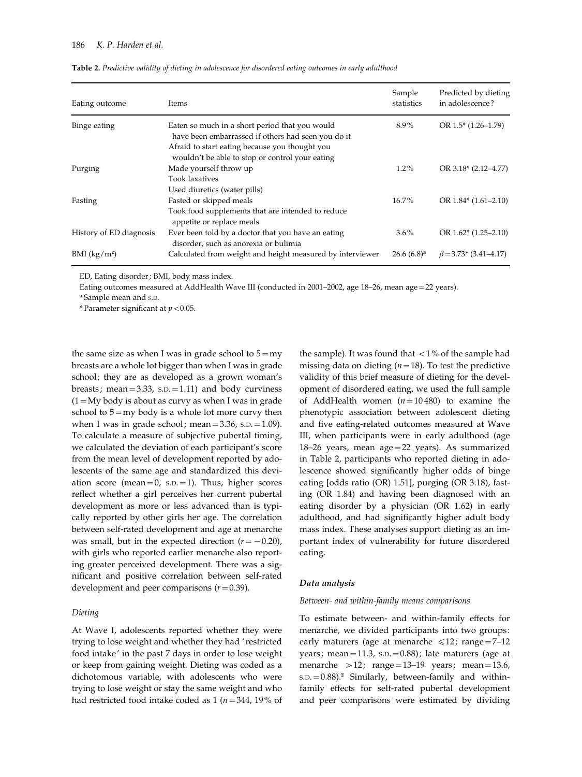| Eating outcome          | Items                                                                                                                                                                                                     | Sample<br>statistics | Predicted by dieting<br>in adolescence? |
|-------------------------|-----------------------------------------------------------------------------------------------------------------------------------------------------------------------------------------------------------|----------------------|-----------------------------------------|
| Binge eating            | Eaten so much in a short period that you would<br>have been embarrassed if others had seen you do it<br>Afraid to start eating because you thought you<br>wouldn't be able to stop or control your eating | $8.9\%$              | OR $1.5*(1.26-1.79)$                    |
| Purging                 | Made yourself throw up<br><b>Took laxatives</b><br>Used diuretics (water pills)                                                                                                                           | $1.2\%$              | OR $3.18*(2.12-4.77)$                   |
| Fasting                 | Fasted or skipped meals<br>Took food supplements that are intended to reduce<br>appetite or replace meals                                                                                                 | $16.7\%$             | OR $1.84*$ $(1.61-2.10)$                |
| History of ED diagnosis | Ever been told by a doctor that you have an eating<br>disorder, such as anorexia or bulimia                                                                                                               | $3.6\%$              | OR $1.62*(1.25-2.10)$                   |
| BMI $(kg/m^2)$          | Calculated from weight and height measured by interviewer                                                                                                                                                 | $26.6(6.8)^a$        | $\beta$ = 3.73* (3.41–4.17)             |

Table 2. Predictive validity of dieting in adolescence for disordered eating outcomes in early adulthood

ED, Eating disorder ; BMI, body mass index.

Eating outcomes measured at AddHealth Wave III (conducted in 2001–2002, age 18–26, mean age=22 years).

<sup>a</sup> Sample mean and S.D.

\* Parameter significant at  $p < 0.05$ .

the same size as when I was in grade school to  $5=$ my breasts are a whole lot bigger than when I was in grade school; they are as developed as a grown woman's breasts; mean= $3.33$ , s.p. = 1.11) and body curviness  $(1=My$  body is about as curvy as when I was in grade school to  $5=$ my body is a whole lot more curvy then when I was in grade school; mean= $3.36$ , s.p. =  $1.09$ ). To calculate a measure of subjective pubertal timing, we calculated the deviation of each participant's score from the mean level of development reported by adolescents of the same age and standardized this deviation score (mean=0, s.p. = 1). Thus, higher scores reflect whether a girl perceives her current pubertal development as more or less advanced than is typically reported by other girls her age. The correlation between self-rated development and age at menarche was small, but in the expected direction  $(r=-0.20)$ , with girls who reported earlier menarche also reporting greater perceived development. There was a significant and positive correlation between self-rated development and peer comparisons  $(r=0.39)$ .

## Dieting

At Wave I, adolescents reported whether they were trying to lose weight and whether they had ' restricted food intake' in the past 7 days in order to lose weight or keep from gaining weight. Dieting was coded as a dichotomous variable, with adolescents who were trying to lose weight or stay the same weight and who had restricted food intake coded as  $1 (n=344, 19\% \text{ of }$ 

the sample). It was found that  $<$  1% of the sample had missing data on dieting ( $n=18$ ). To test the predictive validity of this brief measure of dieting for the development of disordered eating, we used the full sample of AddHealth women  $(n=10 480)$  to examine the phenotypic association between adolescent dieting and five eating-related outcomes measured at Wave III, when participants were in early adulthood (age 18–26 years, mean age=22 years). As summarized in Table 2, participants who reported dieting in adolescence showed significantly higher odds of binge eating [odds ratio (OR) 1.51], purging (OR 3.18), fasting (OR 1.84) and having been diagnosed with an eating disorder by a physician (OR 1.62) in early adulthood, and had significantly higher adult body mass index. These analyses support dieting as an important index of vulnerability for future disordered eating.

#### Data analysis

#### Between- and within-family means comparisons

To estimate between- and within-family effects for menarche, we divided participants into two groups: early maturers (age at menarche  $\leq 12$ ; range=7–12 years; mean=11.3, s.p.=0.88); late maturers (age at menarche  $>12$ ; range=13-19 years; mean=13.6,  $S.D. = 0.88$ <sup>2</sup> Similarly, between-family and withinfamily effects for self-rated pubertal development and peer comparisons were estimated by dividing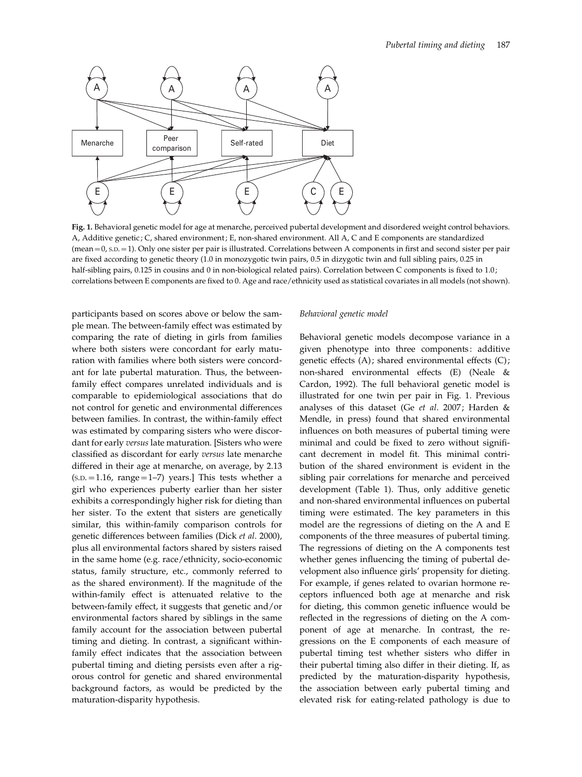

Fig. 1. Behavioral genetic model for age at menarche, perceived pubertal development and disordered weight control behaviors. A, Additive genetic; C, shared environment; E, non-shared environment. All A, C and E components are standardized (mean=0, S.D.=1). Only one sister per pair is illustrated. Correlations between A components in first and second sister per pair are fixed according to genetic theory (1.0 in monozygotic twin pairs, 0.5 in dizygotic twin and full sibling pairs, 0.25 in half-sibling pairs, 0.125 in cousins and 0 in non-biological related pairs). Correlation between C components is fixed to 1.0; correlations between E components are fixed to 0. Age and race/ethnicity used as statistical covariates in all models (not shown).

participants based on scores above or below the sample mean. The between-family effect was estimated by comparing the rate of dieting in girls from families where both sisters were concordant for early maturation with families where both sisters were concordant for late pubertal maturation. Thus, the betweenfamily effect compares unrelated individuals and is comparable to epidemiological associations that do not control for genetic and environmental differences between families. In contrast, the within-family effect was estimated by comparing sisters who were discordant for early versus late maturation. [Sisters who were classified as discordant for early versus late menarche differed in their age at menarche, on average, by 2.13  $(S.D. = 1.16, range=1-7)$  years.] This tests whether a girl who experiences puberty earlier than her sister exhibits a correspondingly higher risk for dieting than her sister. To the extent that sisters are genetically similar, this within-family comparison controls for genetic differences between families (Dick et al. 2000), plus all environmental factors shared by sisters raised in the same home (e.g. race/ethnicity, socio-economic status, family structure, etc., commonly referred to as the shared environment). If the magnitude of the within-family effect is attenuated relative to the between-family effect, it suggests that genetic and/or environmental factors shared by siblings in the same family account for the association between pubertal timing and dieting. In contrast, a significant withinfamily effect indicates that the association between pubertal timing and dieting persists even after a rigorous control for genetic and shared environmental background factors, as would be predicted by the maturation-disparity hypothesis.

## Behavioral genetic model

Behavioral genetic models decompose variance in a given phenotype into three components: additive genetic effects (A); shared environmental effects (C); non-shared environmental effects (E) (Neale & Cardon, 1992). The full behavioral genetic model is illustrated for one twin per pair in Fig. 1. Previous analyses of this dataset (Ge et al. 2007; Harden & Mendle, in press) found that shared environmental influences on both measures of pubertal timing were minimal and could be fixed to zero without significant decrement in model fit. This minimal contribution of the shared environment is evident in the sibling pair correlations for menarche and perceived development (Table 1). Thus, only additive genetic and non-shared environmental influences on pubertal timing were estimated. The key parameters in this model are the regressions of dieting on the A and E components of the three measures of pubertal timing. The regressions of dieting on the A components test whether genes influencing the timing of pubertal development also influence girls' propensity for dieting. For example, if genes related to ovarian hormone receptors influenced both age at menarche and risk for dieting, this common genetic influence would be reflected in the regressions of dieting on the A component of age at menarche. In contrast, the regressions on the E components of each measure of pubertal timing test whether sisters who differ in their pubertal timing also differ in their dieting. If, as predicted by the maturation-disparity hypothesis, the association between early pubertal timing and elevated risk for eating-related pathology is due to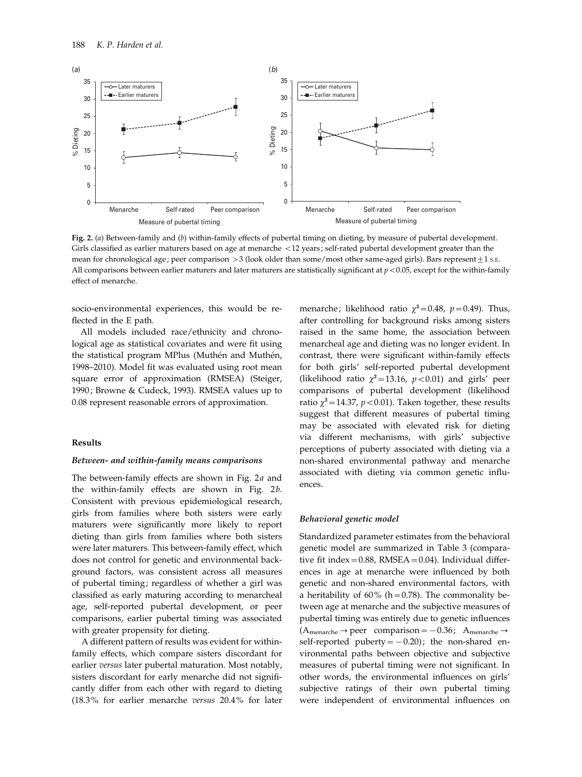

Fig. 2. (a) Between-family and (b) within-family effects of pubertal timing on dieting, by measure of pubertal development. Girls classified as earlier maturers based on age at menarche <12 years ; self-rated pubertal development greater than the mean for chronological age; peer comparison  $>3$  (look older than some/most other same-aged girls). Bars represent  $\pm 1$  s.E. All comparisons between earlier maturers and later maturers are statistically significant at  $p$  <0.05, except for the within-family effect of menarche.

socio-environmental experiences, this would be reflected in the E path.

All models included race/ethnicity and chronological age as statistical covariates and were fit using the statistical program MPlus (Muthén and Muthén, 1998–2010). Model fit was evaluated using root mean square error of approximation (RMSEA) (Steiger, 1990; Browne & Cudeck, 1993). RMSEA values up to 0.08 represent reasonable errors of approximation.

## Results

#### Between- and within-family means comparisons

The between-family effects are shown in Fig. 2a and the within-family effects are shown in Fig. 2b. Consistent with previous epidemiological research, girls from families where both sisters were early maturers were significantly more likely to report dieting than girls from families where both sisters were later maturers. This between-family effect, which does not control for genetic and environmental background factors, was consistent across all measures of pubertal timing; regardless of whether a girl was classified as early maturing according to menarcheal age, self-reported pubertal development, or peer comparisons, earlier pubertal timing was associated with greater propensity for dieting.

A different pattern of results was evident for withinfamily effects, which compare sisters discordant for earlier versus later pubertal maturation. Most notably, sisters discordant for early menarche did not significantly differ from each other with regard to dieting (18.3% for earlier menarche versus 20.4% for later

menarche; likelihood ratio  $\chi^2$ =0.48,  $p$ =0.49). Thus, after controlling for background risks among sisters raised in the same home, the association between menarcheal age and dieting was no longer evident. In contrast, there were significant within-family effects for both girls' self-reported pubertal development (likelihood ratio  $\chi^2$ =13.16,  $p$  < 0.01) and girls' peer comparisons of pubertal development (likelihood ratio  $\chi^2$ =14.37,  $p$  < 0.01). Taken together, these results suggest that different measures of pubertal timing may be associated with elevated risk for dieting via different mechanisms, with girls' subjective perceptions of puberty associated with dieting via a non-shared environmental pathway and menarche associated with dieting via common genetic influences.

## Behavioral genetic model

Standardized parameter estimates from the behavioral genetic model are summarized in Table 3 (comparative fit index =  $0.88$ , RMSEA =  $0.04$ ). Individual differences in age at menarche were influenced by both genetic and non-shared environmental factors, with a heritability of  $60\%$  (h = 0.78). The commonality between age at menarche and the subjective measures of pubertal timing was entirely due to genetic influences  $(A_{\text{meparable}} \rightarrow \text{peer} \text{ comparison}=-0.36; A_{\text{meparable}} \rightarrow$ self-reported puberty  $=$  -0.20); the non-shared environmental paths between objective and subjective measures of pubertal timing were not significant. In other words, the environmental influences on girls' subjective ratings of their own pubertal timing were independent of environmental influences on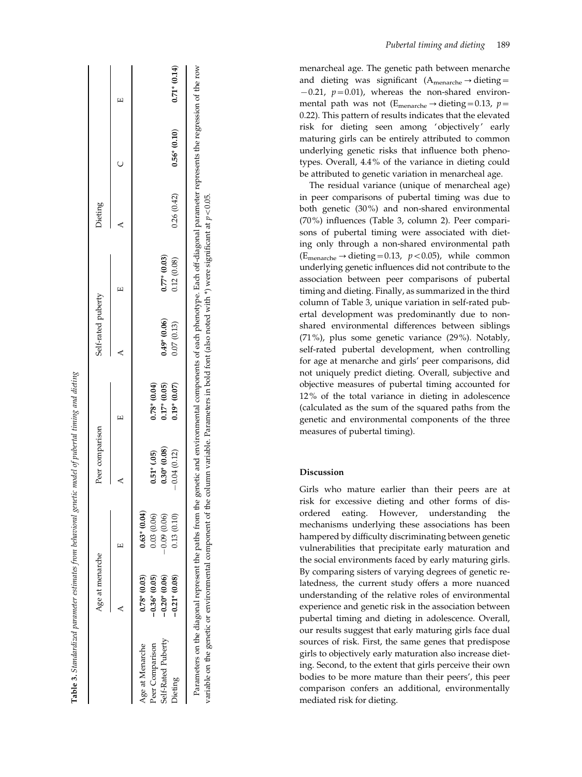|                    | Age at menarche    |                | Peer comparison  |                | Self-rated puberty |                | Dieting    |                |                  |
|--------------------|--------------------|----------------|------------------|----------------|--------------------|----------------|------------|----------------|------------------|
|                    |                    |                |                  |                |                    | C T 1          |            |                | ш                |
| Age at Menarche    | $0.78* (0.03)$     | $0.63* (0.04)$ |                  |                |                    |                |            |                |                  |
| Peer Comparison    | $-0.36^{*}(0.05)$  | 0.03(0.06)     | $0.51*$ (.05)    | $0.78* (0.04)$ |                    |                |            |                |                  |
| Self-Rated Puberty | $-0.20^{*}$ (0.06) | $-0.09(0.06)$  | $0.30^{*}(0.08)$ | $0.17* (0.05)$ | $0.49* (0.06)$     | $0.77* (0.03)$ |            |                |                  |
| Dieting            | $-0.21$ * $(0.08)$ | 0.13(0.10)     | $-0.04(0.12)$    | $0.19* (0.07)$ | 0.07(0.13)         | 0.12(0.08)     | 0.26(0.42) | $0.56* (0.10)$ | $0.71*$ $(0.14)$ |

**Table 3.** Standardized parameter estimates from behavioral genetic model of pubertal timing and dieting

variable on the genetic or environmental component of the column variable. Parameters in bold font (also noted with \*) were significant at p<0.05. ariable on the genetic or environmental component of the column variable. Parameters in bold font (also noted with \*) were significant at  $p < 0.05$ 

Pubertal timing and dieting 189

menarcheal age. The genetic path between menarche and dieting was significant  $(A_{\text{menarche}} \rightarrow$  dieting=  $-0.21$ ,  $p = 0.01$ ), whereas the non-shared environmental path was not ( $E_{\text{meanche}} \rightarrow \text{dieting}=0.13$ ,  $p=$ 0.22). This pattern of results indicates that the elevated risk for dieting seen among ' objectively' early maturing girls can be entirely attributed to common underlying genetic risks that influence both phenotypes. Overall, 4.4% of the variance in dieting could be attributed to genetic variation in menarcheal age.

The residual variance (unique of menarcheal age) in peer comparisons of pubertal timing was due to both genetic (30%) and non-shared environmental (70%) influences (Table 3, column 2). Peer comparisons of pubertal timing were associated with dieting only through a non-shared environmental path  $(E_{\text{meanche}} \rightarrow \text{dieting} = 0.13, p < 0.05)$ , while common underlying genetic influences did not contribute to the association between peer comparisons of pubertal timing and dieting. Finally, as summarized in the third column of Table 3, unique variation in self-rated pubertal development was predominantly due to nonshared environmental differences between siblings (71%), plus some genetic variance (29%). Notably, self-rated pubertal development, when controlling for age at menarche and girls' peer comparisons, did not uniquely predict dieting. Overall, subjective and objective measures of pubertal timing accounted for 12% of the total variance in dieting in adolescence (calculated as the sum of the squared paths from the genetic and environmental components of the three measures of pubertal timing).

## Discussion

Girls who mature earlier than their peers are at risk for excessive dieting and other forms of disordered eating. However, understanding the mechanisms underlying these associations has been hampered by difficulty discriminating between genetic vulnerabilities that precipitate early maturation and the social environments faced by early maturing girls. By comparing sisters of varying degrees of genetic relatedness, the current study offers a more nuanced understanding of the relative roles of environmental experience and genetic risk in the association between pubertal timing and dieting in adolescence. Overall, our results suggest that early maturing girls face dual sources of risk. First, the same genes that predispose girls to objectively early maturation also increase dieting. Second, to the extent that girls perceive their own bodies to be more mature than their peers', this peer comparison confers an additional, environmentally mediated risk for dieting.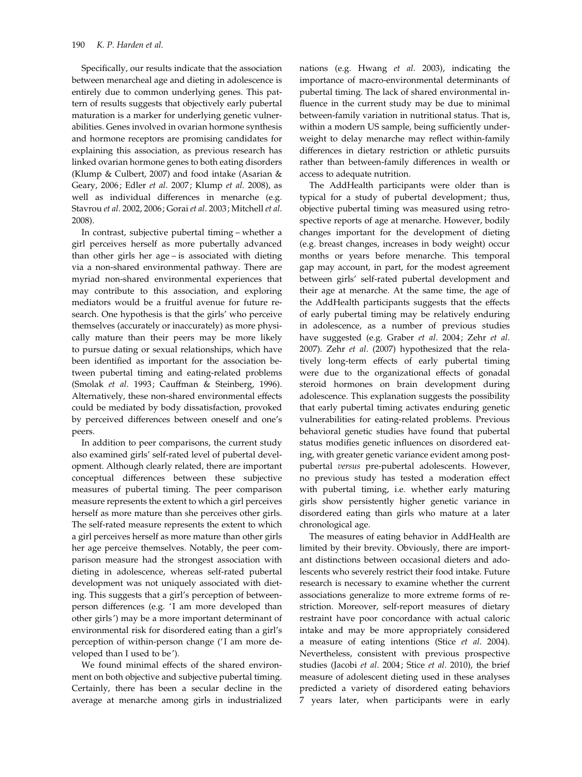Specifically, our results indicate that the association between menarcheal age and dieting in adolescence is entirely due to common underlying genes. This pattern of results suggests that objectively early pubertal maturation is a marker for underlying genetic vulnerabilities. Genes involved in ovarian hormone synthesis and hormone receptors are promising candidates for explaining this association, as previous research has linked ovarian hormone genes to both eating disorders (Klump & Culbert, 2007) and food intake (Asarian & Geary, 2006; Edler et al. 2007; Klump et al. 2008), as well as individual differences in menarche (e.g. Stavrou et al. 2002, 2006; Gorai et al. 2003; Mitchell et al. 2008).

In contrast, subjective pubertal timing – whether a girl perceives herself as more pubertally advanced than other girls her age – is associated with dieting via a non-shared environmental pathway. There are myriad non-shared environmental experiences that may contribute to this association, and exploring mediators would be a fruitful avenue for future research. One hypothesis is that the girls' who perceive themselves (accurately or inaccurately) as more physically mature than their peers may be more likely to pursue dating or sexual relationships, which have been identified as important for the association between pubertal timing and eating-related problems (Smolak et al. 1993; Cauffman & Steinberg, 1996). Alternatively, these non-shared environmental effects could be mediated by body dissatisfaction, provoked by perceived differences between oneself and one's peers.

In addition to peer comparisons, the current study also examined girls' self-rated level of pubertal development. Although clearly related, there are important conceptual differences between these subjective measures of pubertal timing. The peer comparison measure represents the extent to which a girl perceives herself as more mature than she perceives other girls. The self-rated measure represents the extent to which a girl perceives herself as more mature than other girls her age perceive themselves. Notably, the peer comparison measure had the strongest association with dieting in adolescence, whereas self-rated pubertal development was not uniquely associated with dieting. This suggests that a girl's perception of betweenperson differences (e.g. 'I am more developed than other girls') may be a more important determinant of environmental risk for disordered eating than a girl's perception of within-person change ('I am more developed than I used to be').

We found minimal effects of the shared environment on both objective and subjective pubertal timing. Certainly, there has been a secular decline in the average at menarche among girls in industrialized

nations (e.g. Hwang et al. 2003), indicating the importance of macro-environmental determinants of pubertal timing. The lack of shared environmental influence in the current study may be due to minimal between-family variation in nutritional status. That is, within a modern US sample, being sufficiently underweight to delay menarche may reflect within-family differences in dietary restriction or athletic pursuits rather than between-family differences in wealth or access to adequate nutrition.

The AddHealth participants were older than is typical for a study of pubertal development; thus, objective pubertal timing was measured using retrospective reports of age at menarche. However, bodily changes important for the development of dieting (e.g. breast changes, increases in body weight) occur months or years before menarche. This temporal gap may account, in part, for the modest agreement between girls' self-rated pubertal development and their age at menarche. At the same time, the age of the AddHealth participants suggests that the effects of early pubertal timing may be relatively enduring in adolescence, as a number of previous studies have suggested (e.g. Graber et al. 2004; Zehr et al. 2007). Zehr et al. (2007) hypothesized that the relatively long-term effects of early pubertal timing were due to the organizational effects of gonadal steroid hormones on brain development during adolescence. This explanation suggests the possibility that early pubertal timing activates enduring genetic vulnerabilities for eating-related problems. Previous behavioral genetic studies have found that pubertal status modifies genetic influences on disordered eating, with greater genetic variance evident among postpubertal versus pre-pubertal adolescents. However, no previous study has tested a moderation effect with pubertal timing, i.e. whether early maturing girls show persistently higher genetic variance in disordered eating than girls who mature at a later chronological age.

The measures of eating behavior in AddHealth are limited by their brevity. Obviously, there are important distinctions between occasional dieters and adolescents who severely restrict their food intake. Future research is necessary to examine whether the current associations generalize to more extreme forms of restriction. Moreover, self-report measures of dietary restraint have poor concordance with actual caloric intake and may be more appropriately considered a measure of eating intentions (Stice et al. 2004). Nevertheless, consistent with previous prospective studies (Jacobi et al. 2004; Stice et al. 2010), the brief measure of adolescent dieting used in these analyses predicted a variety of disordered eating behaviors 7 years later, when participants were in early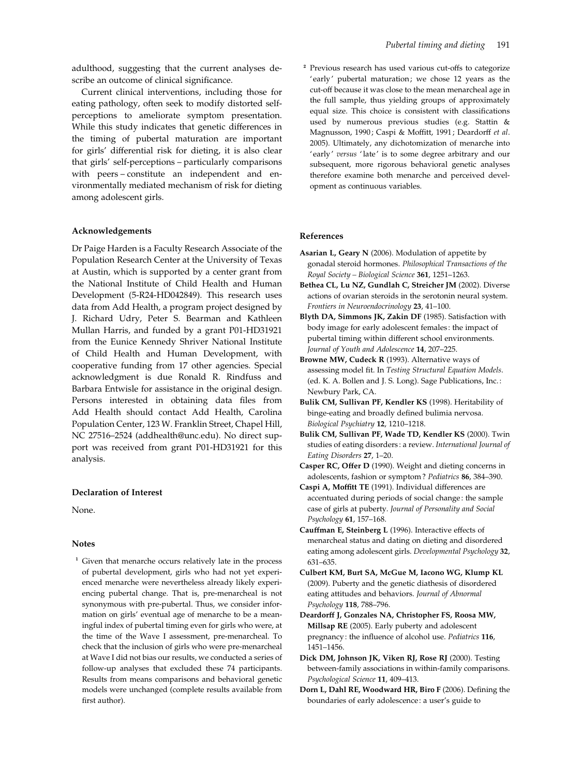adulthood, suggesting that the current analyses describe an outcome of clinical significance.

Current clinical interventions, including those for eating pathology, often seek to modify distorted selfperceptions to ameliorate symptom presentation. While this study indicates that genetic differences in the timing of pubertal maturation are important for girls' differential risk for dieting, it is also clear that girls' self-perceptions – particularly comparisons with peers – constitute an independent and environmentally mediated mechanism of risk for dieting among adolescent girls.

## Acknowledgements

Dr Paige Harden is a Faculty Research Associate of the Population Research Center at the University of Texas at Austin, which is supported by a center grant from the National Institute of Child Health and Human Development (5-R24-HD042849). This research uses data from Add Health, a program project designed by J. Richard Udry, Peter S. Bearman and Kathleen Mullan Harris, and funded by a grant P01-HD31921 from the Eunice Kennedy Shriver National Institute of Child Health and Human Development, with cooperative funding from 17 other agencies. Special acknowledgment is due Ronald R. Rindfuss and Barbara Entwisle for assistance in the original design. Persons interested in obtaining data files from Add Health should contact Add Health, Carolina Population Center, 123 W. Franklin Street, Chapel Hill, NC 27516–2524 (addhealth@unc.edu). No direct support was received from grant P01-HD31921 for this analysis.

#### Declaration of Interest

None.

#### **Notes**

<sup>1</sup> Given that menarche occurs relatively late in the process of pubertal development, girls who had not yet experienced menarche were nevertheless already likely experiencing pubertal change. That is, pre-menarcheal is not synonymous with pre-pubertal. Thus, we consider information on girls' eventual age of menarche to be a meaningful index of pubertal timing even for girls who were, at the time of the Wave I assessment, pre-menarcheal. To check that the inclusion of girls who were pre-menarcheal at Wave I did not bias our results, we conducted a series of follow-up analyses that excluded these 74 participants. Results from means comparisons and behavioral genetic models were unchanged (complete results available from first author).

<sup>2</sup> Previous research has used various cut-offs to categorize 'early' pubertal maturation; we chose 12 years as the cut-off because it was close to the mean menarcheal age in the full sample, thus yielding groups of approximately equal size. This choice is consistent with classifications used by numerous previous studies (e.g. Stattin & Magnusson, 1990; Caspi & Moffitt, 1991; Deardorff et al. 2005). Ultimately, any dichotomization of menarche into 'early' versus 'late' is to some degree arbitrary and our subsequent, more rigorous behavioral genetic analyses therefore examine both menarche and perceived development as continuous variables.

## References

- Asarian L, Geary N (2006). Modulation of appetite by gonadal steroid hormones. Philosophical Transactions of the Royal Society – Biological Science 361, 1251–1263.
- Bethea CL, Lu NZ, Gundlah C, Streicher JM (2002). Diverse actions of ovarian steroids in the serotonin neural system. Frontiers in Neuroendocrinology 23, 41–100.
- Blyth DA, Simmons JK, Zakin DF (1985). Satisfaction with body image for early adolescent females : the impact of pubertal timing within different school environments. Journal of Youth and Adolescence 14, 207–225.
- Browne MW, Cudeck R (1993). Alternative ways of assessing model fit. In Testing Structural Equation Models. (ed. K. A. Bollen and J. S. Long). Sage Publications, Inc.: Newbury Park, CA.
- Bulik CM, Sullivan PF, Kendler KS (1998). Heritability of binge-eating and broadly defined bulimia nervosa. Biological Psychiatry 12, 1210–1218.
- Bulik CM, Sullivan PF, Wade TD, Kendler KS (2000). Twin studies of eating disorders : a review. International Journal of Eating Disorders 27, 1–20.
- Casper RC, Offer D (1990). Weight and dieting concerns in adolescents, fashion or symptom ? Pediatrics 86, 384–390.
- Caspi A, Moffitt TE (1991). Individual differences are accentuated during periods of social change: the sample case of girls at puberty. Journal of Personality and Social Psychology 61, 157–168.
- Cauffman E, Steinberg L (1996). Interactive effects of menarcheal status and dating on dieting and disordered eating among adolescent girls. Developmental Psychology 32, 631–635.
- Culbert KM, Burt SA, McGue M, Iacono WG, Klump KL (2009). Puberty and the genetic diathesis of disordered eating attitudes and behaviors. Journal of Abnormal Psychology 118, 788–796.
- Deardorff J, Gonzales NA, Christopher FS, Roosa MW, Millsap RE (2005). Early puberty and adolescent pregnancy : the influence of alcohol use. Pediatrics 116, 1451–1456.
- Dick DM, Johnson JK, Viken RJ, Rose RJ (2000). Testing between-family associations in within-family comparisons. Psychological Science 11, 409–413.
- Dorn L, Dahl RE, Woodward HR, Biro F (2006). Defining the boundaries of early adolescence : a user's guide to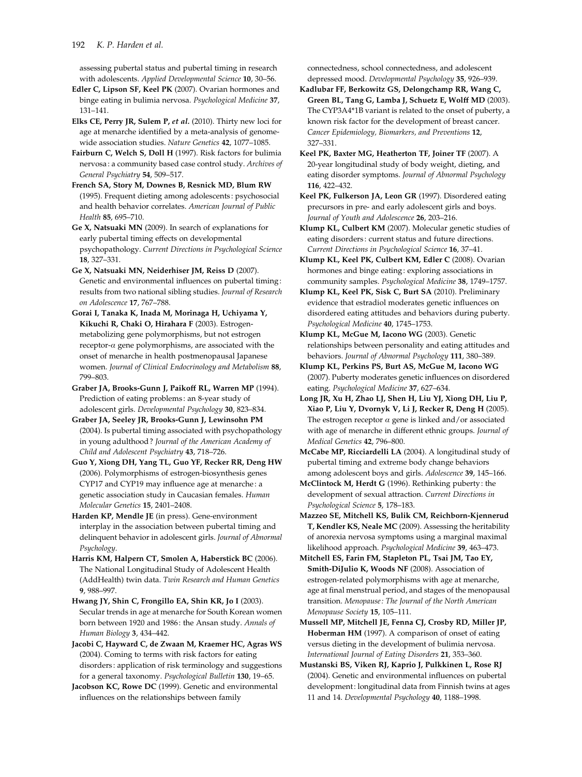assessing pubertal status and pubertal timing in research with adolescents. Applied Developmental Science 10, 30–56.

Edler C, Lipson SF, Keel PK (2007). Ovarian hormones and binge eating in bulimia nervosa. Psychological Medicine 37, 131–141.

Elks CE, Perry JR, Sulem P, et al. (2010). Thirty new loci for age at menarche identified by a meta-analysis of genomewide association studies. Nature Genetics 42, 1077–1085.

Fairburn C, Welch S, Doll H (1997). Risk factors for bulimia nervosa : a community based case control study. Archives of General Psychiatry 54, 509–517.

French SA, Story M, Downes B, Resnick MD, Blum RW (1995). Frequent dieting among adolescents : psychosocial and health behavior correlates. American Journal of Public Health 85, 695–710.

Ge X, Natsuaki MN (2009). In search of explanations for early pubertal timing effects on developmental psychopathology. Current Directions in Psychological Science 18, 327–331.

Ge X, Natsuaki MN, Neiderhiser JM, Reiss D (2007). Genetic and environmental influences on pubertal timing : results from two national sibling studies. Journal of Research on Adolescence 17, 767–788.

Gorai I, Tanaka K, Inada M, Morinaga H, Uchiyama Y, Kikuchi R, Chaki O, Hirahara F (2003). Estrogenmetabolizing gene polymorphisms, but not estrogen receptor- $\alpha$  gene polymorphisms, are associated with the onset of menarche in health postmenopausal Japanese women. Journal of Clinical Endocrinology and Metabolism 88, 799–803.

Graber JA, Brooks-Gunn J, Paikoff RL, Warren MP (1994). Prediction of eating problems : an 8-year study of adolescent girls. Developmental Psychology 30, 823–834.

Graber JA, Seeley JR, Brooks-Gunn J, Lewinsohn PM (2004). Is pubertal timing associated with psychopathology in young adulthood ? Journal of the American Academy of Child and Adolescent Psychiatry 43, 718–726.

Guo Y, Xiong DH, Yang TL, Guo YF, Recker RR, Deng HW (2006). Polymorphisms of estrogen-biosynthesis genes CYP17 and CYP19 may influence age at menarche : a genetic association study in Caucasian females. Human Molecular Genetics 15, 2401–2408.

Harden KP, Mendle JE (in press). Gene-environment interplay in the association between pubertal timing and delinquent behavior in adolescent girls. Journal of Abnormal Psychology.

Harris KM, Halpern CT, Smolen A, Haberstick BC (2006). The National Longitudinal Study of Adolescent Health (AddHealth) twin data. Twin Research and Human Genetics 9, 988–997.

Hwang JY, Shin C, Frongillo EA, Shin KR, Jo I (2003). Secular trends in age at menarche for South Korean women born between 1920 and 1986: the Ansan study. Annals of Human Biology 3, 434–442.

Jacobi C, Hayward C, de Zwaan M, Kraemer HC, Agras WS (2004). Coming to terms with risk factors for eating disorders : application of risk terminology and suggestions for a general taxonomy. Psychological Bulletin 130, 19–65.

Jacobson KC, Rowe DC (1999). Genetic and environmental influences on the relationships between family

connectedness, school connectedness, and adolescent depressed mood. Developmental Psychology 35, 926–939.

Kadlubar FF, Berkowitz GS, Delongchamp RR, Wang C, Green BL, Tang G, Lamba J, Schuetz E, Wolff MD (2003). The CYP3A4\*1B variant is related to the onset of puberty, a known risk factor for the development of breast cancer. Cancer Epidemiology, Biomarkers, and Preventions 12, 327–331.

Keel PK, Baxter MG, Heatherton TF, Joiner TF (2007). A 20-year longitudinal study of body weight, dieting, and eating disorder symptoms. Journal of Abnormal Psychology 116, 422–432.

Keel PK, Fulkerson JA, Leon GR (1997). Disordered eating precursors in pre- and early adolescent girls and boys. Journal of Youth and Adolescence 26, 203–216.

Klump KL, Culbert KM (2007). Molecular genetic studies of eating disorders : current status and future directions. Current Directions in Psychological Science 16, 37–41.

Klump KL, Keel PK, Culbert KM, Edler C (2008). Ovarian hormones and binge eating: exploring associations in community samples. Psychological Medicine 38, 1749–1757.

Klump KL, Keel PK, Sisk C, Burt SA (2010). Preliminary evidence that estradiol moderates genetic influences on disordered eating attitudes and behaviors during puberty. Psychological Medicine 40, 1745–1753.

Klump KL, McGue M, Iacono WG (2003). Genetic relationships between personality and eating attitudes and behaviors. Journal of Abnormal Psychology 111, 380–389.

Klump KL, Perkins PS, Burt AS, McGue M, Iacono WG (2007). Puberty moderates genetic influences on disordered eating. Psychological Medicine 37, 627–634.

Long JR, Xu H, Zhao LJ, Shen H, Liu YJ, Xiong DH, Liu P, Xiao P, Liu Y, Dvornyk V, Li J, Recker R, Deng H (2005). The estrogen receptor  $\alpha$  gene is linked and/or associated with age of menarche in different ethnic groups. Journal of Medical Genetics 42, 796–800.

McCabe MP, Ricciardelli LA (2004). A longitudinal study of pubertal timing and extreme body change behaviors among adolescent boys and girls. Adolescence 39, 145–166.

McClintock M, Herdt G (1996). Rethinking puberty : the development of sexual attraction. Current Directions in Psychological Science 5, 178–183.

Mazzeo SE, Mitchell KS, Bulik CM, Reichborn-Kjennerud T, Kendler KS, Neale MC (2009). Assessing the heritability of anorexia nervosa symptoms using a marginal maximal likelihood approach. Psychological Medicine 39, 463–473.

Mitchell ES, Farin FM, Stapleton PL, Tsai JM, Tao EY, Smith-DiJulio K, Woods NF (2008). Association of estrogen-related polymorphisms with age at menarche, age at final menstrual period, and stages of the menopausal transition. Menopause : The Journal of the North American Menopause Society 15, 105–111.

Mussell MP, Mitchell JE, Fenna CJ, Crosby RD, Miller JP, Hoberman HM (1997). A comparison of onset of eating versus dieting in the development of bulimia nervosa. International Journal of Eating Disorders 21, 353–360.

Mustanski BS, Viken RJ, Kaprio J, Pulkkinen L, Rose RJ (2004). Genetic and environmental influences on pubertal development: longitudinal data from Finnish twins at ages 11 and 14. Developmental Psychology 40, 1188–1998.